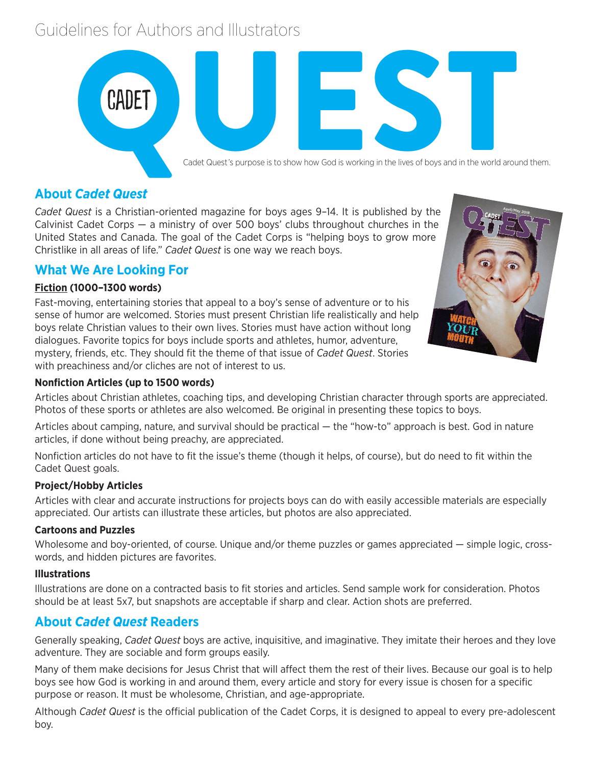# Guidelines for Authors and Illustrators



# **About** *Cadet Quest*

*Cadet Quest* is a Christian-oriented magazine for boys ages 9–14. It is published by the Calvinist Cadet Corps  $-$  a ministry of over 500 boys' clubs throughout churches in the United States and Canada. The goal of the Cadet Corps is "helping boys to grow more Christlike in all areas of life." *Cadet Quest* is one way we reach boys.

# **What We Are Looking For**

### **Fiction (1000–1300 words)**

Fast-moving, entertaining stories that appeal to a boy's sense of adventure or to his sense of humor are welcomed. Stories must present Christian life realistically and help boys relate Christian values to their own lives. Stories must have action without long dialogues. Favorite topics for boys include sports and athletes, humor, adventure, mystery, friends, etc. They should fit the theme of that issue of *Cadet Quest*. Stories with preachiness and/or cliches are not of interest to us.



#### **Nonfiction Articles (up to 1500 words)**

Articles about Christian athletes, coaching tips, and developing Christian character through sports are appreciated. Photos of these sports or athletes are also welcomed. Be original in presenting these topics to boys.

Articles about camping, nature, and survival should be practical — the "how-to" approach is best. God in nature articles, if done without being preachy, are appreciated.

Nonfiction articles do not have to fit the issue's theme (though it helps, of course), but do need to fit within the Cadet Quest goals.

#### **Project/Hobby Articles**

Articles with clear and accurate instructions for projects boys can do with easily accessible materials are especially appreciated. Our artists can illustrate these articles, but photos are also appreciated.

#### **Cartoons and Puzzles**

Wholesome and boy-oriented, of course. Unique and/or theme puzzles or games appreciated — simple logic, crosswords, and hidden pictures are favorites.

#### **Illustrations**

Illustrations are done on a contracted basis to fit stories and articles. Send sample work for consideration. Photos should be at least 5x7, but snapshots are acceptable if sharp and clear. Action shots are preferred.

# **About** *Cadet Quest* **Readers**

Generally speaking, *Cadet Quest* boys are active, inquisitive, and imaginative. They imitate their heroes and they love adventure. They are sociable and form groups easily.

Many of them make decisions for Jesus Christ that will affect them the rest of their lives. Because our goal is to help boys see how God is working in and around them, every article and story for every issue is chosen for a specific purpose or reason. It must be wholesome, Christian, and age-appropriate.

Although *Cadet Quest* is the official publication of the Cadet Corps, it is designed to appeal to every pre-adolescent boy.